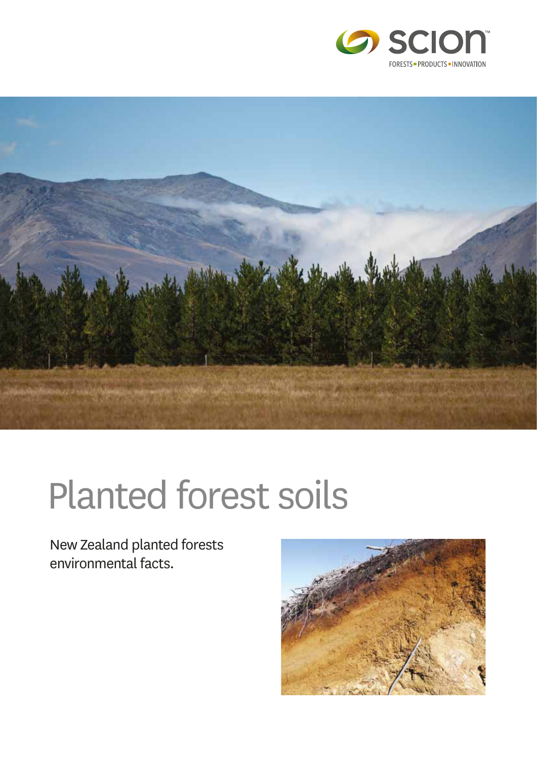



# Planted forest soils

New Zealand planted forests environmental facts.

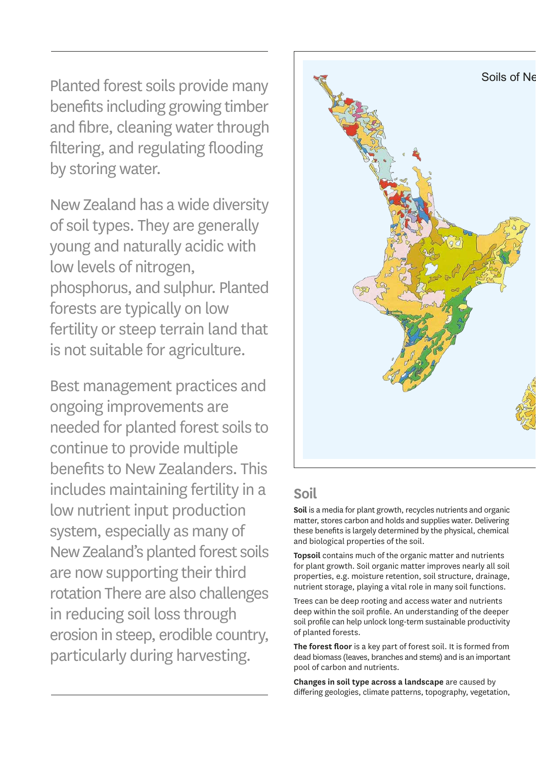Planted forest soils provide many benefits including growing timber and fibre, cleaning water through filtering, and regulating flooding by storing water.

New Zealand has a wide diversity of soil types. They are generally young and naturally acidic with low levels of nitrogen, phosphorus, and sulphur. Planted forests are typically on low fertility or steep terrain land that is not suitable for agriculture.

Best management practices and ongoing improvements are needed for planted forest soils to continue to provide multiple benefits to New Zealanders. This includes maintaining fertility in a low nutrient input production system, especially as many of New Zealand's planted forest soils are now supporting their third rotation There are also challenges in reducing soil loss through erosion in steep, erodible country, particularly during harvesting.



# **Soil**

**Soil** is a media for plant growth, recycles nutrients and organic matter, stores carbon and holds and supplies water. Delivering these benefits is largely determined by the physical, chemical and biological properties of the soil.

**Topsoil** contains much of the organic matter and nutrients for plant growth. Soil organic matter improves nearly all soil properties, e.g. moisture retention, soil structure, drainage, nutrient storage, playing a vital role in many soil functions.

Trees can be deep rooting and access water and nutrients deep within the soil profile. An understanding of the deeper soil profile can help unlock long-term sustainable productivity of planted forests.

**The forest floor** is a key part of forest soil. It is formed from dead biomass (leaves, branches and stems) and is an important pool of carbon and nutrients.

**Changes in soil type across a landscape** are caused by differing geologies, climate patterns, topography, vegetation,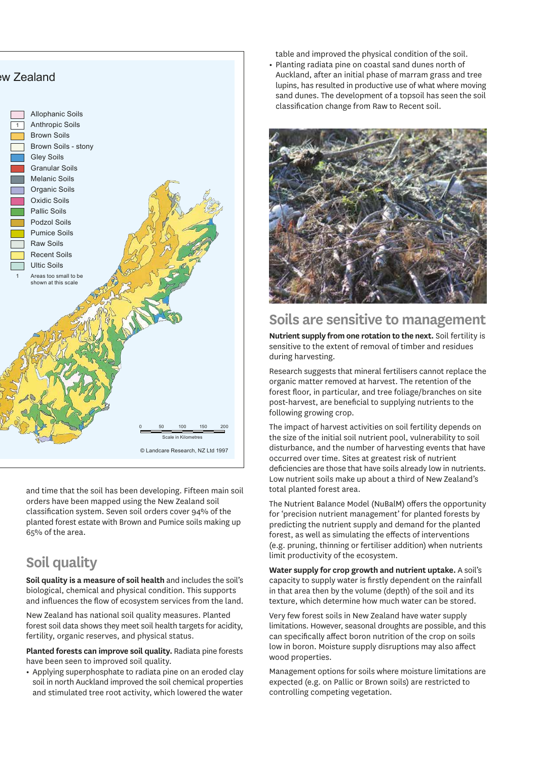

and time that the soil has been developing. Fifteen main soil orders have been mapped using the New Zealand soil classification system. Seven soil orders cover 94% of the planted forest estate with Brown and Pumice soils making up 65% of the area.

# **Soil quality**

**Soil quality is a measure of soil health** and includes the soil's biological, chemical and physical condition. This supports and influences the flow of ecosystem services from the land.

New Zealand has national soil quality measures. Planted forest soil data shows they meet soil health targets for acidity, fertility, organic reserves, and physical status.

**Planted forests can improve soil quality.** Radiata pine forests have been seen to improved soil quality.

**•** Applying superphosphate to radiata pine on an eroded clay soil in north Auckland improved the soil chemical properties and stimulated tree root activity, which lowered the water

table and improved the physical condition of the soil.

**•** Planting radiata pine on coastal sand dunes north of Auckland, after an initial phase of marram grass and tree lupins, has resulted in productive use of what where moving sand dunes. The development of a topsoil has seen the soil classification change from Raw to Recent soil.



#### **Soils are sensitive to management**

**Nutrient supply from one rotation to the next.** Soil fertility is sensitive to the extent of removal of timber and residues during harvesting.

Research suggests that mineral fertilisers cannot replace the organic matter removed at harvest. The retention of the forest floor, in particular, and tree foliage/branches on site post-harvest, are beneficial to supplying nutrients to the following growing crop.

The impact of harvest activities on soil fertility depends on the size of the initial soil nutrient pool, vulnerability to soil disturbance, and the number of harvesting events that have occurred over time. Sites at greatest risk of nutrient deficiencies are those that have soils already low in nutrients. Low nutrient soils make up about a third of New Zealand's total planted forest area.

The Nutrient Balance Model (NuBalM) offers the opportunity for 'precision nutrient management' for planted forests by predicting the nutrient supply and demand for the planted forest, as well as simulating the effects of interventions (e.g. pruning, thinning or fertiliser addition) when nutrients limit productivity of the ecosystem.

**Water supply for crop growth and nutrient uptake.** A soil's capacity to supply water is firstly dependent on the rainfall in that area then by the volume (depth) of the soil and its texture, which determine how much water can be stored.

Very few forest soils in New Zealand have water supply limitations. However, seasonal droughts are possible, and this can specifically affect boron nutrition of the crop on soils low in boron. Moisture supply disruptions may also affect wood properties.

Management options for soils where moisture limitations are expected (e.g. on Pallic or Brown soils) are restricted to controlling competing vegetation.